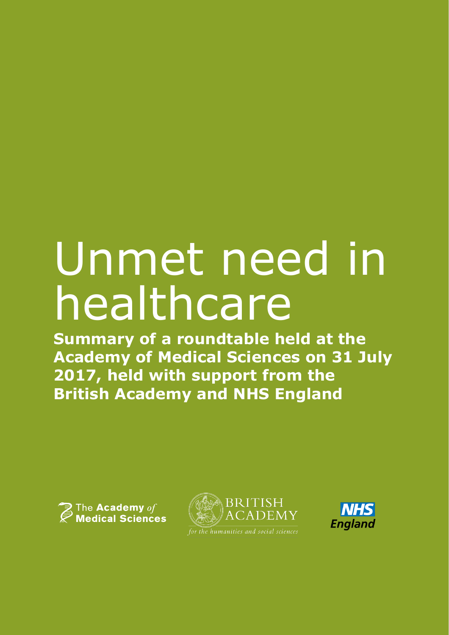## Unmet need in healthcare

**Summary of a roundtable held at the Academy of Medical Sciences on 31 July 2017, held with support from the British Academy and NHS England**





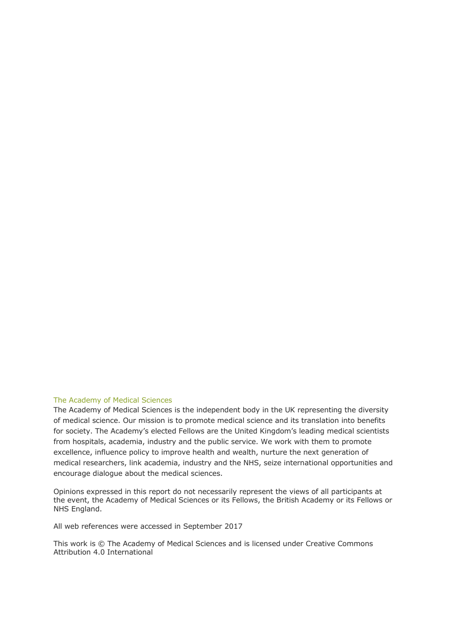#### The Academy of Medical Sciences

The Academy of Medical Sciences is the independent body in the UK representing the diversity of medical science. Our mission is to promote medical science and its translation into benefits for society. The Academy's elected Fellows are the United Kingdom's leading medical scientists from hospitals, academia, industry and the public service. We work with them to promote excellence, influence policy to improve health and wealth, nurture the next generation of medical researchers, link academia, industry and the NHS, seize international opportunities and encourage dialogue about the medical sciences.

Opinions expressed in this report do not necessarily represent the views of all participants at the event, the Academy of Medical Sciences or its Fellows, the British Academy or its Fellows or NHS England.

All web references were accessed in September 2017

This work is © The Academy of Medical Sciences and is licensed under Creative Commons Attribution 4.0 International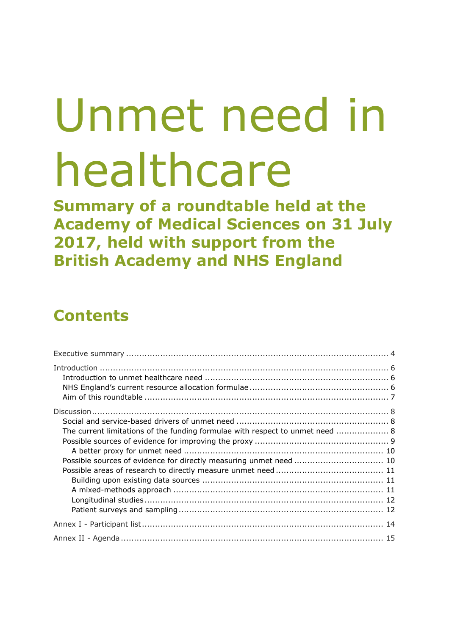# Unmet need in healthcare

**Summary of a roundtable held at the Academy of Medical Sciences on 31 July 2017, held with support from the British Academy and NHS England**

### **Contents**

| The current limitations of the funding formulae with respect to unmet need  8 |  |
|-------------------------------------------------------------------------------|--|
|                                                                               |  |
|                                                                               |  |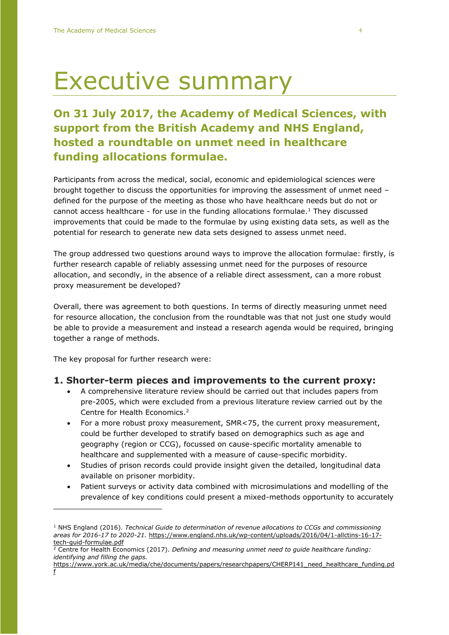### Executive summary

#### **On 31 July 2017, the Academy of Medical Sciences, with support from the British Academy and NHS England, hosted a roundtable on unmet need in healthcare funding allocations formulae.**

Participants from across the medical, social, economic and epidemiological sciences were brought together to discuss the opportunities for improving the assessment of unmet need – defined for the purpose of the meeting as those who have healthcare needs but do not or cannot access healthcare - for use in the funding allocations formulae.<sup>1</sup> They discussed improvements that could be made to the formulae by using existing data sets, as well as the potential for research to generate new data sets designed to assess unmet need.

The group addressed two questions around ways to improve the allocation formulae: firstly, is further research capable of reliably assessing unmet need for the purposes of resource allocation, and secondly, in the absence of a reliable direct assessment, can a more robust proxy measurement be developed?

Overall, there was agreement to both questions. In terms of directly measuring unmet need for resource allocation, the conclusion from the roundtable was that not just one study would be able to provide a measurement and instead a research agenda would be required, bringing together a range of methods.

The key proposal for further research were:

 $\overline{a}$ 

#### **1. Shorter-term pieces and improvements to the current proxy:**

- A comprehensive literature review should be carried out that includes papers from pre-2005, which were excluded from a previous literature review carried out by the Centre for Health Economics. 2
- For a more robust proxy measurement, SMR<75, the current proxy measurement, could be further developed to stratify based on demographics such as age and geography (region or CCG), focussed on cause-specific mortality amenable to healthcare and supplemented with a measure of cause-specific morbidity.
- Studies of prison records could provide insight given the detailed, longitudinal data available on prisoner morbidity.
- Patient surveys or activity data combined with microsimulations and modelling of the prevalence of key conditions could present a mixed-methods opportunity to accurately

<sup>1</sup> NHS England (2016). *Technical Guide to determination of revenue allocations to CCGs and commissioning areas for 2016-17 to 2020-21.* [https://www.england.nhs.uk/wp-content/uploads/2016/04/1-allctins-16-17](https://www.england.nhs.uk/wp-content/uploads/2016/04/1-allctins-16-17-tech-guid-formulae.pdf) [tech-guid-formulae.pdf](https://www.england.nhs.uk/wp-content/uploads/2016/04/1-allctins-16-17-tech-guid-formulae.pdf)

<sup>2</sup> Centre for Health Economics (2017). *Defining and measuring unmet need to guide healthcare funding: identifying and filling the gaps.*

[https://www.york.ac.uk/media/che/documents/papers/researchpapers/CHERP141\\_need\\_healthcare\\_funding.pd](https://www.york.ac.uk/media/che/documents/papers/researchpapers/CHERP141_need_healthcare_funding.pdf) [f](https://www.york.ac.uk/media/che/documents/papers/researchpapers/CHERP141_need_healthcare_funding.pdf)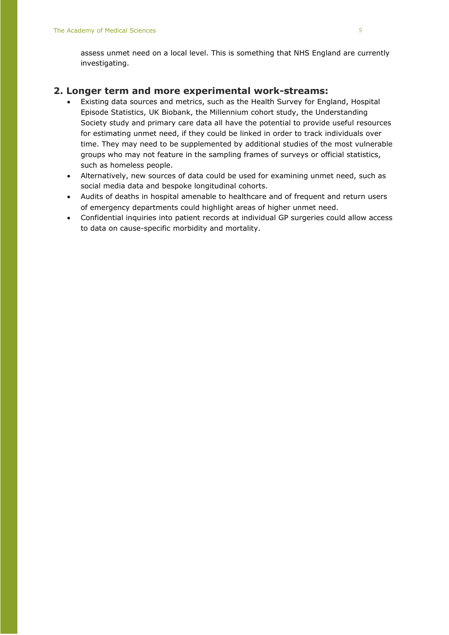assess unmet need on a local level. This is something that NHS England are currently investigating.

#### **2. Longer term and more experimental work-streams:**

- Existing data sources and metrics, such as the Health Survey for England, Hospital Episode Statistics, UK Biobank, the Millennium cohort study, the Understanding Society study and primary care data all have the potential to provide useful resources for estimating unmet need, if they could be linked in order to track individuals over time. They may need to be supplemented by additional studies of the most vulnerable groups who may not feature in the sampling frames of surveys or official statistics, such as homeless people.
- Alternatively, new sources of data could be used for examining unmet need, such as social media data and bespoke longitudinal cohorts.
- Audits of deaths in hospital amenable to healthcare and of frequent and return users of emergency departments could highlight areas of higher unmet need.
- Confidential inquiries into patient records at individual GP surgeries could allow access to data on cause-specific morbidity and mortality.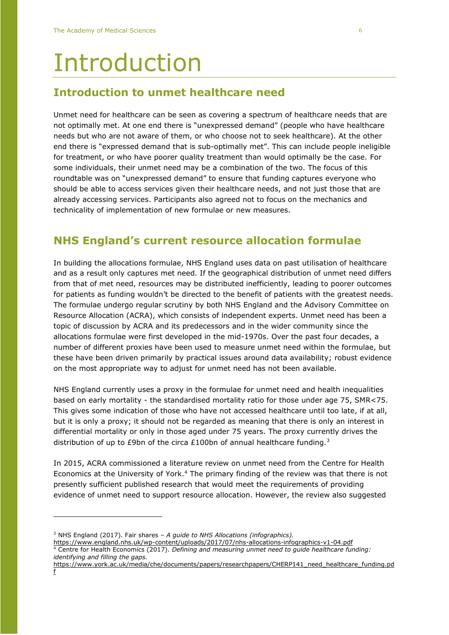### Introduction

#### **Introduction to unmet healthcare need**

Unmet need for healthcare can be seen as covering a spectrum of healthcare needs that are not optimally met. At one end there is "unexpressed demand" (people who have healthcare needs but who are not aware of them, or who choose not to seek healthcare). At the other end there is "expressed demand that is sub-optimally met". This can include people ineligible for treatment, or who have poorer quality treatment than would optimally be the case. For some individuals, their unmet need may be a combination of the two. The focus of this roundtable was on "unexpressed demand" to ensure that funding captures everyone who should be able to access services given their healthcare needs, and not just those that are already accessing services. Participants also agreed not to focus on the mechanics and technicality of implementation of new formulae or new measures.

#### **NHS England's current resource allocation formulae**

In building the allocations formulae, NHS England uses data on past utilisation of healthcare and as a result only captures met need. If the geographical distribution of unmet need differs from that of met need, resources may be distributed inefficiently, leading to poorer outcomes for patients as funding wouldn't be directed to the benefit of patients with the greatest needs. The formulae undergo regular scrutiny by both NHS England and the Advisory Committee on Resource Allocation (ACRA), which consists of independent experts. Unmet need has been a topic of discussion by ACRA and its predecessors and in the wider community since the allocations formulae were first developed in the mid-1970s. Over the past four decades, a number of different proxies have been used to measure unmet need within the formulae, but these have been driven primarily by practical issues around data availability; robust evidence on the most appropriate way to adjust for unmet need has not been available.

NHS England currently uses a proxy in the formulae for unmet need and health inequalities based on early mortality - the standardised mortality ratio for those under age 75, SMR<75. This gives some indication of those who have not accessed healthcare until too late, if at all, but it is only a proxy; it should not be regarded as meaning that there is only an interest in differential mortality or only in those aged under 75 years. The proxy currently drives the distribution of up to £9bn of the circa £100bn of annual healthcare funding.<sup>3</sup>

In 2015, ACRA commissioned a literature review on unmet need from the Centre for Health Economics at the University of York.<sup>4</sup> The primary finding of the review was that there is not presently sufficient published research that would meet the requirements of providing evidence of unmet need to support resource allocation. However, the review also suggested

<sup>3</sup> NHS England (2017). Fair shares – *A guide to NHS Allocations (infographics).*

<https://www.england.nhs.uk/wp-content/uploads/2017/07/nhs-allocations-infographics-v1-04.pdf> <sup>4</sup> Centre for Health Economics (2017). *Defining and measuring unmet need to guide healthcare funding: identifying and filling the gaps.*

[https://www.york.ac.uk/media/che/documents/papers/researchpapers/CHERP141\\_need\\_healthcare\\_funding.pd](https://www.york.ac.uk/media/che/documents/papers/researchpapers/CHERP141_need_healthcare_funding.pdf) [f](https://www.york.ac.uk/media/che/documents/papers/researchpapers/CHERP141_need_healthcare_funding.pdf)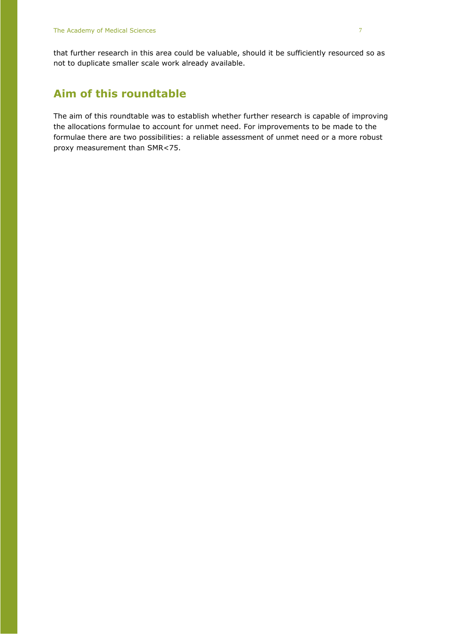that further research in this area could be valuable, should it be sufficiently resourced so as not to duplicate smaller scale work already available.

#### **Aim of this roundtable**

The aim of this roundtable was to establish whether further research is capable of improving the allocations formulae to account for unmet need. For improvements to be made to the formulae there are two possibilities: a reliable assessment of unmet need or a more robust proxy measurement than SMR<75.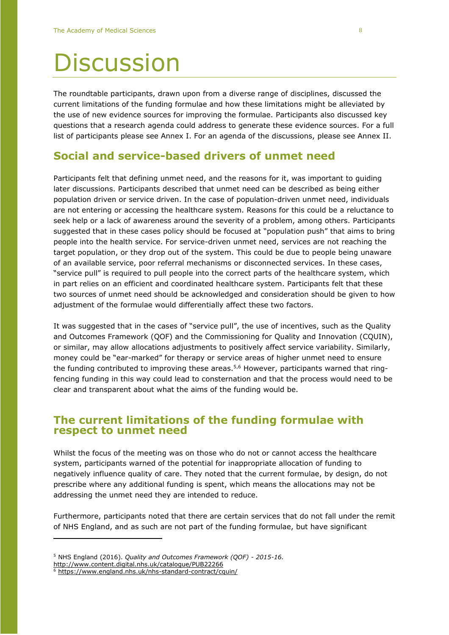### **Discussion**

The roundtable participants, drawn upon from a diverse range of disciplines, discussed the current limitations of the funding formulae and how these limitations might be alleviated by the use of new evidence sources for improving the formulae. Participants also discussed key questions that a research agenda could address to generate these evidence sources. For a full list of participants please see Annex I. For an agenda of the discussions, please see Annex II.

#### **Social and service-based drivers of unmet need**

Participants felt that defining unmet need, and the reasons for it, was important to guiding later discussions. Participants described that unmet need can be described as being either population driven or service driven. In the case of population-driven unmet need, individuals are not entering or accessing the healthcare system. Reasons for this could be a reluctance to seek help or a lack of awareness around the severity of a problem, among others. Participants suggested that in these cases policy should be focused at "population push" that aims to bring people into the health service. For service-driven unmet need, services are not reaching the target population, or they drop out of the system. This could be due to people being unaware of an available service, poor referral mechanisms or disconnected services. In these cases, "service pull" is required to pull people into the correct parts of the healthcare system, which in part relies on an efficient and coordinated healthcare system. Participants felt that these two sources of unmet need should be acknowledged and consideration should be given to how adjustment of the formulae would differentially affect these two factors.

It was suggested that in the cases of "service pull", the use of incentives, such as the Quality and Outcomes Framework (QOF) and the Commissioning for Quality and Innovation (CQUIN), or similar, may allow allocations adjustments to positively affect service variability. Similarly, money could be "ear-marked" for therapy or service areas of higher unmet need to ensure the funding contributed to improving these areas.<sup>5,6</sup> However, participants warned that ringfencing funding in this way could lead to consternation and that the process would need to be clear and transparent about what the aims of the funding would be.

#### **The current limitations of the funding formulae with respect to unmet need**

Whilst the focus of the meeting was on those who do not or cannot access the healthcare system, participants warned of the potential for inappropriate allocation of funding to negatively influence quality of care. They noted that the current formulae, by design, do not prescribe where any additional funding is spent, which means the allocations may not be addressing the unmet need they are intended to reduce.

Furthermore, participants noted that there are certain services that do not fall under the remit of NHS England, and as such are not part of the funding formulae, but have significant

<sup>5</sup> NHS England (2016). *Quality and Outcomes Framework (QOF) - 2015-16.*

<http://www.content.digital.nhs.uk/catalogue/PUB22266>

<https://www.england.nhs.uk/nhs-standard-contract/cquin/>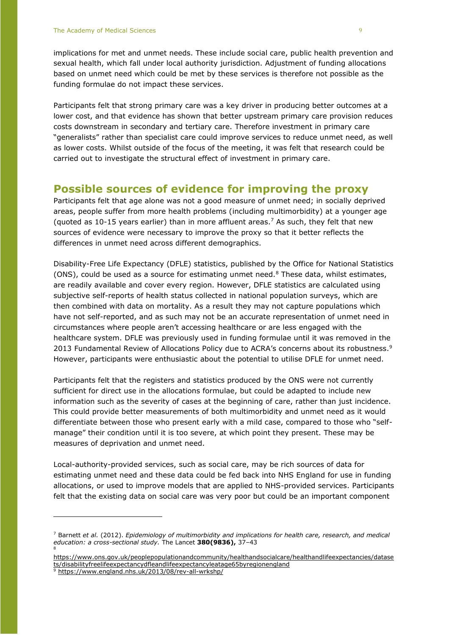implications for met and unmet needs. These include social care, public health prevention and sexual health, which fall under local authority jurisdiction. Adjustment of funding allocations based on unmet need which could be met by these services is therefore not possible as the funding formulae do not impact these services.

Participants felt that strong primary care was a key driver in producing better outcomes at a lower cost, and that evidence has shown that better upstream primary care provision reduces costs downstream in secondary and tertiary care. Therefore investment in primary care "generalists" rather than specialist care could improve services to reduce unmet need, as well as lower costs. Whilst outside of the focus of the meeting, it was felt that research could be carried out to investigate the structural effect of investment in primary care.

#### **Possible sources of evidence for improving the proxy**

Participants felt that age alone was not a good measure of unmet need; in socially deprived areas, people suffer from more health problems (including multimorbidity) at a younger age (quoted as 10-15 years earlier) than in more affluent areas.<sup>7</sup> As such, they felt that new sources of evidence were necessary to improve the proxy so that it better reflects the differences in unmet need across different demographics.

Disability-Free Life Expectancy (DFLE) statistics, published by the Office for National Statistics (ONS), could be used as a source for estimating unmet need. $8$  These data, whilst estimates, are readily available and cover every region. However, DFLE statistics are calculated using subjective self-reports of health status collected in national population surveys, which are then combined with data on mortality. As a result they may not capture populations which have not self-reported, and as such may not be an accurate representation of unmet need in circumstances where people aren't accessing healthcare or are less engaged with the healthcare system. DFLE was previously used in funding formulae until it was removed in the 2013 Fundamental Review of Allocations Policy due to ACRA's concerns about its robustness.<sup>9</sup> However, participants were enthusiastic about the potential to utilise DFLE for unmet need.

Participants felt that the registers and statistics produced by the ONS were not currently sufficient for direct use in the allocations formulae, but could be adapted to include new information such as the severity of cases at the beginning of care, rather than just incidence. This could provide better measurements of both multimorbidity and unmet need as it would differentiate between those who present early with a mild case, compared to those who "selfmanage" their condition until it is too severe, at which point they present. These may be measures of deprivation and unmet need.

Local-authority-provided services, such as social care, may be rich sources of data for estimating unmet need and these data could be fed back into NHS England for use in funding allocations, or used to improve models that are applied to NHS-provided services. Participants felt that the existing data on social care was very poor but could be an important component

<sup>7</sup> Barnett *et al.* (2012). *Epidemiology of multimorbidity and implications for health care, research, and medical education: a cross-sectional study.* The Lancet **380(9836),** 37–43 8

[https://www.ons.gov.uk/peoplepopulationandcommunity/healthandsocialcare/healthandlifeexpectancies/datase](https://www.ons.gov.uk/peoplepopulationandcommunity/healthandsocialcare/healthandlifeexpectancies/datasets/disabilityfreelifeexpectancydfleandlifeexpectancyleatage65byregionengland) [ts/disabilityfreelifeexpectancydfleandlifeexpectancyleatage65byregionengland](https://www.ons.gov.uk/peoplepopulationandcommunity/healthandsocialcare/healthandlifeexpectancies/datasets/disabilityfreelifeexpectancydfleandlifeexpectancyleatage65byregionengland)

<sup>9</sup> <https://www.england.nhs.uk/2013/08/rev-all-wrkshp/>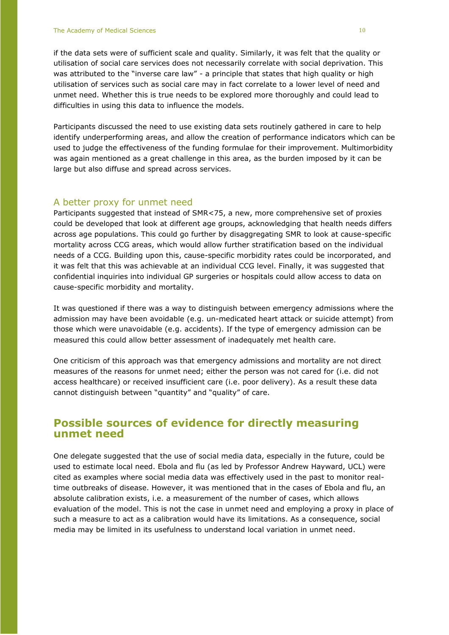if the data sets were of sufficient scale and quality. Similarly, it was felt that the quality or utilisation of social care services does not necessarily correlate with social deprivation. This was attributed to the "inverse care law" - a principle that states that high quality or high utilisation of services such as social care may in fact correlate to a lower level of need and unmet need. Whether this is true needs to be explored more thoroughly and could lead to difficulties in using this data to influence the models.

Participants discussed the need to use existing data sets routinely gathered in care to help identify underperforming areas, and allow the creation of performance indicators which can be used to judge the effectiveness of the funding formulae for their improvement. Multimorbidity was again mentioned as a great challenge in this area, as the burden imposed by it can be large but also diffuse and spread across services.

#### A better proxy for unmet need

Participants suggested that instead of SMR<75, a new, more comprehensive set of proxies could be developed that look at different age groups, acknowledging that health needs differs across age populations. This could go further by disaggregating SMR to look at cause-specific mortality across CCG areas, which would allow further stratification based on the individual needs of a CCG. Building upon this, cause-specific morbidity rates could be incorporated, and it was felt that this was achievable at an individual CCG level. Finally, it was suggested that confidential inquiries into individual GP surgeries or hospitals could allow access to data on cause-specific morbidity and mortality.

It was questioned if there was a way to distinguish between emergency admissions where the admission may have been avoidable (e.g. un-medicated heart attack or suicide attempt) from those which were unavoidable (e.g. accidents). If the type of emergency admission can be measured this could allow better assessment of inadequately met health care.

One criticism of this approach was that emergency admissions and mortality are not direct measures of the reasons for unmet need; either the person was not cared for (i.e. did not access healthcare) or received insufficient care (i.e. poor delivery). As a result these data cannot distinguish between "quantity" and "quality" of care.

#### **Possible sources of evidence for directly measuring unmet need**

One delegate suggested that the use of social media data, especially in the future, could be used to estimate local need. Ebola and flu (as led by Professor Andrew Hayward, UCL) were cited as examples where social media data was effectively used in the past to monitor realtime outbreaks of disease. However, it was mentioned that in the cases of Ebola and flu, an absolute calibration exists, i.e. a measurement of the number of cases, which allows evaluation of the model. This is not the case in unmet need and employing a proxy in place of such a measure to act as a calibration would have its limitations. As a consequence, social media may be limited in its usefulness to understand local variation in unmet need.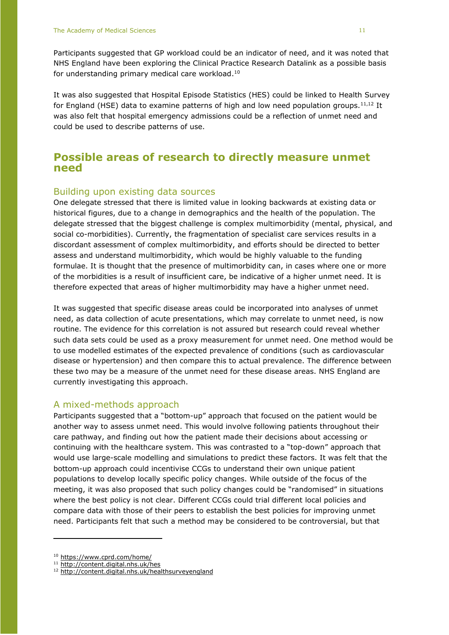Participants suggested that GP workload could be an indicator of need, and it was noted that NHS England have been exploring the Clinical Practice Research Datalink as a possible basis for understanding primary medical care workload. 10

It was also suggested that Hospital Episode Statistics (HES) could be linked to Health Survey for England (HSE) data to examine patterns of high and low need population groups.<sup>11,12</sup> It was also felt that hospital emergency admissions could be a reflection of unmet need and could be used to describe patterns of use.

#### **Possible areas of research to directly measure unmet need**

#### Building upon existing data sources

One delegate stressed that there is limited value in looking backwards at existing data or historical figures, due to a change in demographics and the health of the population. The delegate stressed that the biggest challenge is complex multimorbidity (mental, physical, and social co-morbidities). Currently, the fragmentation of specialist care services results in a discordant assessment of complex multimorbidity, and efforts should be directed to better assess and understand multimorbidity, which would be highly valuable to the funding formulae. It is thought that the presence of multimorbidity can, in cases where one or more of the morbidities is a result of insufficient care, be indicative of a higher unmet need. It is therefore expected that areas of higher multimorbidity may have a higher unmet need.

It was suggested that specific disease areas could be incorporated into analyses of unmet need, as data collection of acute presentations, which may correlate to unmet need, is now routine. The evidence for this correlation is not assured but research could reveal whether such data sets could be used as a proxy measurement for unmet need. One method would be to use modelled estimates of the expected prevalence of conditions (such as cardiovascular disease or hypertension) and then compare this to actual prevalence. The difference between these two may be a measure of the unmet need for these disease areas. NHS England are currently investigating this approach.

#### A mixed-methods approach

Participants suggested that a "bottom-up" approach that focused on the patient would be another way to assess unmet need. This would involve following patients throughout their care pathway, and finding out how the patient made their decisions about accessing or continuing with the healthcare system. This was contrasted to a "top-down" approach that would use large-scale modelling and simulations to predict these factors. It was felt that the bottom-up approach could incentivise CCGs to understand their own unique patient populations to develop locally specific policy changes. While outside of the focus of the meeting, it was also proposed that such policy changes could be "randomised" in situations where the best policy is not clear. Different CCGs could trial different local policies and compare data with those of their peers to establish the best policies for improving unmet need. Participants felt that such a method may be considered to be controversial, but that

<sup>10</sup> <https://www.cprd.com/home/>

<sup>11</sup> <http://content.digital.nhs.uk/hes>

<sup>12</sup> <http://content.digital.nhs.uk/healthsurveyengland>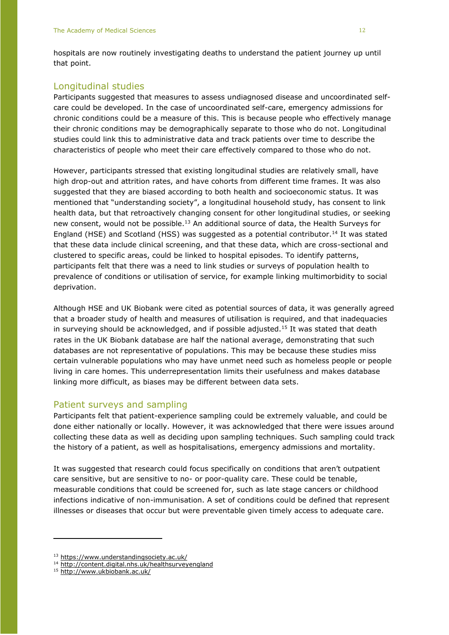hospitals are now routinely investigating deaths to understand the patient journey up until that point.

#### Longitudinal studies

Participants suggested that measures to assess undiagnosed disease and uncoordinated selfcare could be developed. In the case of uncoordinated self-care, emergency admissions for chronic conditions could be a measure of this. This is because people who effectively manage their chronic conditions may be demographically separate to those who do not. Longitudinal studies could link this to administrative data and track patients over time to describe the characteristics of people who meet their care effectively compared to those who do not.

However, participants stressed that existing longitudinal studies are relatively small, have high drop-out and attrition rates, and have cohorts from different time frames. It was also suggested that they are biased according to both health and socioeconomic status. It was mentioned that "understanding society", a longitudinal household study, has consent to link health data, but that retroactively changing consent for other longitudinal studies, or seeking new consent, would not be possible. $13$  An additional source of data, the Health Surveys for England (HSE) and Scotland (HSS) was suggested as a potential contributor.<sup>14</sup> It was stated that these data include clinical screening, and that these data, which are cross-sectional and clustered to specific areas, could be linked to hospital episodes. To identify patterns, participants felt that there was a need to link studies or surveys of population health to prevalence of conditions or utilisation of service, for example linking multimorbidity to social deprivation.

Although HSE and UK Biobank were cited as potential sources of data, it was generally agreed that a broader study of health and measures of utilisation is required, and that inadequacies in surveying should be acknowledged, and if possible adjusted.<sup>15</sup> It was stated that death rates in the UK Biobank database are half the national average, demonstrating that such databases are not representative of populations. This may be because these studies miss certain vulnerable populations who may have unmet need such as homeless people or people living in care homes. This underrepresentation limits their usefulness and makes database linking more difficult, as biases may be different between data sets.

#### Patient surveys and sampling

Participants felt that patient-experience sampling could be extremely valuable, and could be done either nationally or locally. However, it was acknowledged that there were issues around collecting these data as well as deciding upon sampling techniques. Such sampling could track the history of a patient, as well as hospitalisations, emergency admissions and mortality.

It was suggested that research could focus specifically on conditions that aren't outpatient care sensitive, but are sensitive to no- or poor-quality care. These could be tenable, measurable conditions that could be screened for, such as late stage cancers or childhood infections indicative of non-immunisation. A set of conditions could be defined that represent illnesses or diseases that occur but were preventable given timely access to adequate care.

<sup>13</sup> <https://www.understandingsociety.ac.uk/>

<sup>14</sup> <http://content.digital.nhs.uk/healthsurveyengland>

<sup>15</sup> <http://www.ukbiobank.ac.uk/>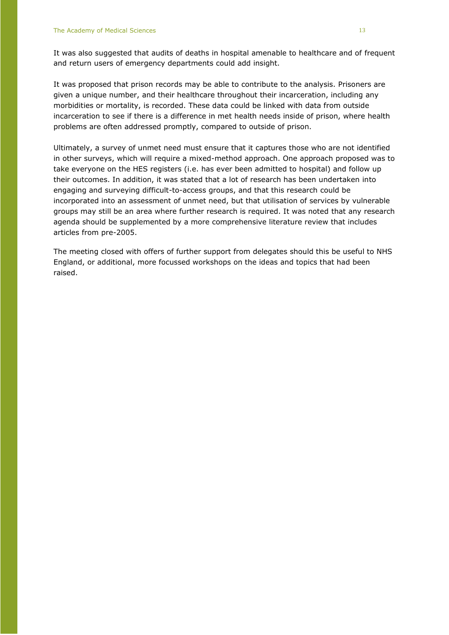It was also suggested that audits of deaths in hospital amenable to healthcare and of frequent and return users of emergency departments could add insight.

It was proposed that prison records may be able to contribute to the analysis. Prisoners are given a unique number, and their healthcare throughout their incarceration, including any morbidities or mortality, is recorded. These data could be linked with data from outside incarceration to see if there is a difference in met health needs inside of prison, where health problems are often addressed promptly, compared to outside of prison.

Ultimately, a survey of unmet need must ensure that it captures those who are not identified in other surveys, which will require a mixed-method approach. One approach proposed was to take everyone on the HES registers (i.e. has ever been admitted to hospital) and follow up their outcomes. In addition, it was stated that a lot of research has been undertaken into engaging and surveying difficult-to-access groups, and that this research could be incorporated into an assessment of unmet need, but that utilisation of services by vulnerable groups may still be an area where further research is required. It was noted that any research agenda should be supplemented by a more comprehensive literature review that includes articles from pre-2005.

The meeting closed with offers of further support from delegates should this be useful to NHS England, or additional, more focussed workshops on the ideas and topics that had been raised.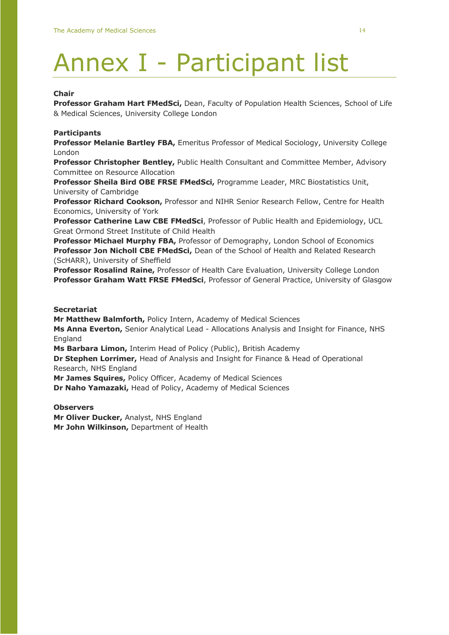### Annex I - Participant list

#### **Chair**

**Professor Graham Hart FMedSci,** Dean, Faculty of Population Health Sciences, School of Life & Medical Sciences, University College London

#### **Participants**

**Professor Melanie Bartley FBA,** Emeritus Professor of Medical Sociology, University College London

**Professor Christopher Bentley,** Public Health Consultant and Committee Member, Advisory Committee on Resource Allocation

**Professor Sheila Bird OBE FRSE FMedSci,** Programme Leader, MRC Biostatistics Unit, University of Cambridge

**Professor Richard Cookson,** Professor and NIHR Senior Research Fellow, Centre for Health Economics, University of York

**Professor Catherine Law CBE FMedSci**, Professor of Public Health and Epidemiology, UCL Great Ormond Street Institute of Child Health

**Professor Michael Murphy FBA,** Professor of Demography, London School of Economics **Professor Jon Nicholl CBE FMedSci,** Dean of the School of Health and Related Research (ScHARR), University of Sheffield

**Professor Rosalind Raine,** Professor of Health Care Evaluation, University College London **Professor Graham Watt FRSE FMedSci**, Professor of General Practice, University of Glasgow

#### **Secretariat**

**Mr Matthew Balmforth,** Policy Intern, Academy of Medical Sciences

**Ms Anna Everton,** Senior Analytical Lead - Allocations Analysis and Insight for Finance, NHS England

**Ms Barbara Limon,** Interim Head of Policy (Public), British Academy

**Dr Stephen Lorrimer,** Head of Analysis and Insight for Finance & Head of Operational Research, NHS England

**Mr James Squires,** Policy Officer, Academy of Medical Sciences

**Dr Naho Yamazaki,** Head of Policy, Academy of Medical Sciences

**Observers**

**Mr Oliver Ducker,** Analyst, NHS England **Mr John Wilkinson,** Department of Health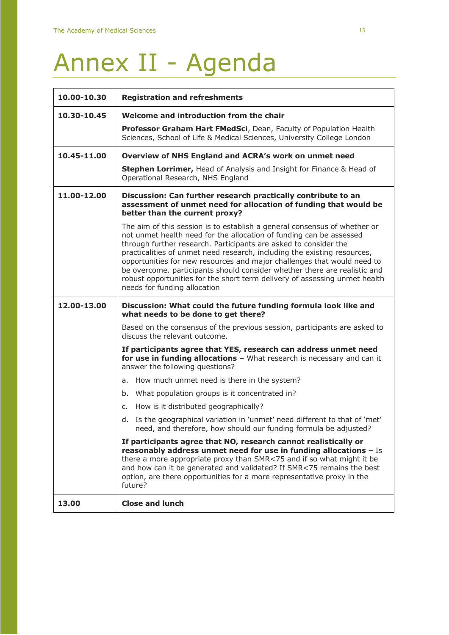## Annex II - Agenda

| 10.00-10.30 | <b>Registration and refreshments</b>                                                                                                                                                                                                                                                                                                                                                                                                                                                                                                                                   |
|-------------|------------------------------------------------------------------------------------------------------------------------------------------------------------------------------------------------------------------------------------------------------------------------------------------------------------------------------------------------------------------------------------------------------------------------------------------------------------------------------------------------------------------------------------------------------------------------|
| 10.30-10.45 | Welcome and introduction from the chair                                                                                                                                                                                                                                                                                                                                                                                                                                                                                                                                |
|             | Professor Graham Hart FMedSci, Dean, Faculty of Population Health<br>Sciences, School of Life & Medical Sciences, University College London                                                                                                                                                                                                                                                                                                                                                                                                                            |
| 10.45-11.00 | Overview of NHS England and ACRA's work on unmet need                                                                                                                                                                                                                                                                                                                                                                                                                                                                                                                  |
|             | Stephen Lorrimer, Head of Analysis and Insight for Finance & Head of<br>Operational Research, NHS England                                                                                                                                                                                                                                                                                                                                                                                                                                                              |
| 11.00-12.00 | Discussion: Can further research practically contribute to an<br>assessment of unmet need for allocation of funding that would be<br>better than the current proxy?                                                                                                                                                                                                                                                                                                                                                                                                    |
|             | The aim of this session is to establish a general consensus of whether or<br>not unmet health need for the allocation of funding can be assessed<br>through further research. Participants are asked to consider the<br>practicalities of unmet need research, including the existing resources,<br>opportunities for new resources and major challenges that would need to<br>be overcome. participants should consider whether there are realistic and<br>robust opportunities for the short term delivery of assessing unmet health<br>needs for funding allocation |
| 12.00-13.00 | Discussion: What could the future funding formula look like and<br>what needs to be done to get there?                                                                                                                                                                                                                                                                                                                                                                                                                                                                 |
|             | Based on the consensus of the previous session, participants are asked to<br>discuss the relevant outcome.                                                                                                                                                                                                                                                                                                                                                                                                                                                             |
|             | If participants agree that YES, research can address unmet need<br>for use in funding allocations - What research is necessary and can it<br>answer the following questions?                                                                                                                                                                                                                                                                                                                                                                                           |
|             | a. How much unmet need is there in the system?                                                                                                                                                                                                                                                                                                                                                                                                                                                                                                                         |
|             | What population groups is it concentrated in?<br>b.                                                                                                                                                                                                                                                                                                                                                                                                                                                                                                                    |
|             | c. How is it distributed geographically?                                                                                                                                                                                                                                                                                                                                                                                                                                                                                                                               |
|             | d. Is the geographical variation in 'unmet' need different to that of 'met'<br>need, and therefore, how should our funding formula be adjusted?                                                                                                                                                                                                                                                                                                                                                                                                                        |
|             | If participants agree that NO, research cannot realistically or<br>reasonably address unmet need for use in funding allocations - Is<br>there a more appropriate proxy than SMR<75 and if so what might it be<br>and how can it be generated and validated? If SMR<75 remains the best<br>option, are there opportunities for a more representative proxy in the<br>future?                                                                                                                                                                                            |
| 13.00       | <b>Close and lunch</b>                                                                                                                                                                                                                                                                                                                                                                                                                                                                                                                                                 |